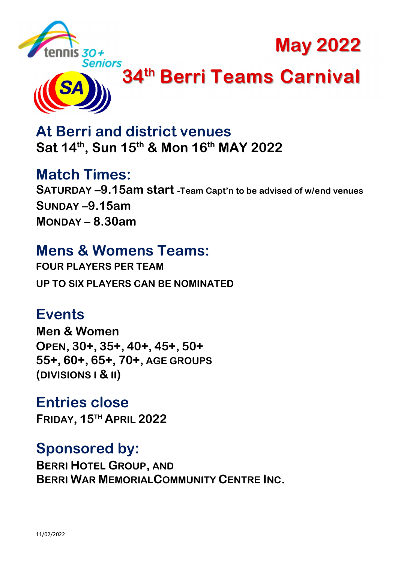

May 2022



# Seniors<br>**1. 34<sup>th</sup> Berri Teams Carnival**

At Berri and district venues Sat 14<sup>th</sup>, Sun 15<sup>th</sup> & Mon 16<sup>th</sup> MAY 2022

Match Times: SATURDAY –9.15am start -Team Capt'n to be advised of w/end venues SUNDAY –9.15am MONDAY – 8.30am

# Mens & Womens Teams:

FOUR PLAYERS PER TEAM UP TO SIX PLAYERS CAN BE NOMINATED

# Events

Men & Women OPEN, 30+, 35+, 40+, 45+, 50+ 55+, 60+, 65+, 70+, AGE GROUPS (DIVISIONS I & II)

Entries close FRIDAY, 15TH APRIL 2022

# Sponsored by:

BERRI HOTEL GROUP, AND BERRI WAR MEMORIALCOMMUNITY CENTRE INC.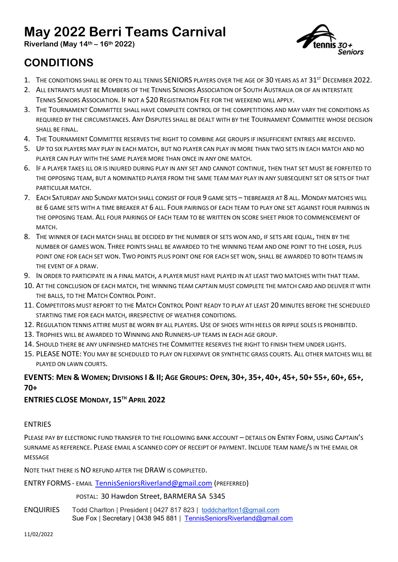## May 2022 Berri Teams Carnival

Riverland (May  $14<sup>th</sup> - 16<sup>th</sup> 2022$ )



## CONDITIONS

- 1. THE CONDITIONS SHALL BE OPEN TO ALL TENNIS SENIORS PLAYERS OVER THE AGE OF 30 YEARS AS AT 31<sup>ST</sup> DECEMBER 2022.
- 2. ALL ENTRANTS MUST BE MEMBERS OF THE TENNIS SENIORS ASSOCIATION OF SOUTH AUSTRALIA OR OF AN INTERSTATE TENNIS SENIORS ASSOCIATION. IF NOT A \$20 REGISTRATION FEE FOR THE WEEKEND WILL APPLY.
- 3. THE TOURNAMENT COMMITTEE SHALL HAVE COMPLETE CONTROL OF THE COMPETITIONS AND MAY VARY THE CONDITIONS AS REQUIRED BY THE CIRCUMSTANCES. ANY DISPUTES SHALL BE DEALT WITH BY THE TOURNAMENT COMMITTEE WHOSE DECISION SHALL BE FINAL.
- 4. THE TOURNAMENT COMMITTEE RESERVES THE RIGHT TO COMBINE AGE GROUPS IF INSUFFICIENT ENTRIES ARE RECEIVED.
- 5. UP TO SIX PLAYERS MAY PLAY IN EACH MATCH, BUT NO PLAYER CAN PLAY IN MORE THAN TWO SETS IN EACH MATCH AND NO PLAYER CAN PLAY WITH THE SAME PLAYER MORE THAN ONCE IN ANY ONE MATCH.
- 6. IF A PLAYER TAKES ILL OR IS INJURED DURING PLAY IN ANY SET AND CANNOT CONTINUE, THEN THAT SET MUST BE FORFEITED TO THE OPPOSING TEAM, BUT A NOMINATED PLAYER FROM THE SAME TEAM MAY PLAY IN ANY SUBSEQUENT SET OR SETS OF THAT PARTICULAR MATCH.
- 7. EACH SATURDAY AND SUNDAY MATCH SHALL CONSIST OF FOUR 9 GAME SETS TIEBREAKER AT 8 ALL. MONDAY MATCHES WILL BE 6 GAME SETS WITH A TIME BREAKER AT 6 ALL. FOUR PAIRINGS OF EACH TEAM TO PLAY ONE SET AGAINST FOUR PAIRINGS IN THE OPPOSING TEAM. ALL FOUR PAIRINGS OF EACH TEAM TO BE WRITTEN ON SCORE SHEET PRIOR TO COMMENCEMENT OF MATCH.
- 8. THE WINNER OF EACH MATCH SHALL BE DECIDED BY THE NUMBER OF SETS WON AND, IF SETS ARE EQUAL, THEN BY THE NUMBER OF GAMES WON. THREE POINTS SHALL BE AWARDED TO THE WINNING TEAM AND ONE POINT TO THE LOSER, PLUS POINT ONE FOR EACH SET WON. TWO POINTS PLUS POINT ONE FOR EACH SET WON, SHALL BE AWARDED TO BOTH TEAMS IN THE EVENT OF A DRAW.
- 9. IN ORDER TO PARTICIPATE IN A FINAL MATCH, A PLAYER MUST HAVE PLAYED IN AT LEAST TWO MATCHES WITH THAT TEAM.
- 10. AT THE CONCLUSION OF EACH MATCH, THE WINNING TEAM CAPTAIN MUST COMPLETE THE MATCH CARD AND DELIVER IT WITH THE BALLS, TO THE MATCH CONTROL POINT.
- 11. COMPETITORS MUST REPORT TO THE MATCH CONTROL POINT READY TO PLAY AT LEAST 20 MINUTES BEFORE THE SCHEDULED STARTING TIME FOR EACH MATCH, IRRESPECTIVE OF WEATHER CONDITIONS.
- 12. REGULATION TENNIS ATTIRE MUST BE WORN BY ALL PLAYERS. USE OF SHOES WITH HEELS OR RIPPLE SOLES IS PROHIBITED.
- 13. TROPHIES WILL BE AWARDED TO WINNING AND RUNNERS-UP TEAMS IN EACH AGE GROUP.
- 14. SHOULD THERE BE ANY UNFINISHED MATCHES THE COMMITTEE RESERVES THE RIGHT TO FINISH THEM UNDER LIGHTS.
- 15. PLEASE NOTE: YOU MAY BE SCHEDULED TO PLAY ON FLEXIPAVE OR SYNTHETIC GRASS COURTS. ALL OTHER MATCHES WILL BE PLAYED ON LAWN COURTS.

#### EVENTS: MEN & WOMEN; DIVISIONS I & II; AGE GROUPS: OPEN, 30+, 35+, 40+, 45+, 50+ 55+, 60+, 65+, 70+

#### ENTRIES CLOSE MONDAY, 15<sup>TH</sup> APRIL 2022

#### ENTRIES

PLEASE PAY BY ELECTRONIC FUND TRANSFER TO THE FOLLOWING BANK ACCOUNT – DETAILS ON ENTRY FORM, USING CAPTAIN'S SURNAME AS REFERENCE. PLEASE EMAIL A SCANNED COPY OF RECEIPT OF PAYMENT. INCLUDE TEAM NAME/S IN THE EMAIL OR MESSAGE

NOTE THAT THERE IS NO REFUND AFTER THE DRAW IS COMPLETED.

ENTRY FORMS - EMAIL TennisSeniorsRiverland@gmail.com (PREFERRED)

#### POSTAL: 30 Hawdon Street, BARMERA SA 5345

ENQUIRIES Todd Charlton | President | 0427 817 823 | toddcharlton1@gmail.com Sue Fox | Secretary | 0438 945 881 | TennisSeniorsRiverland@gmail.com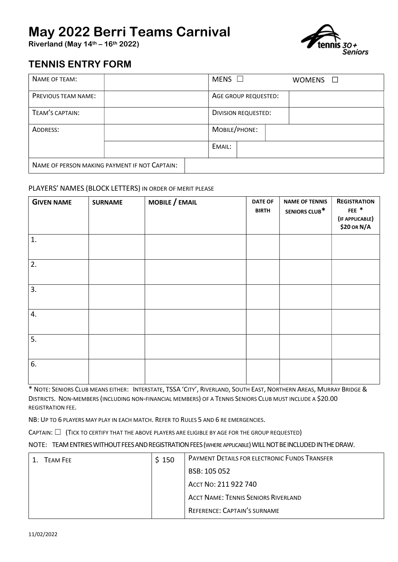## May 2022 Berri Teams Carnival

Riverland (May  $14<sup>th</sup> - 16<sup>th</sup> 2022$ )



### TENNIS ENTRY FORM

| NAME OF TEAM:                                 | MENS $\square$<br><b>WOMENS</b><br>$\mathbf{L}$ |  |  |
|-----------------------------------------------|-------------------------------------------------|--|--|
| <b>PREVIOUS TEAM NAME:</b>                    | AGE GROUP REQUESTED:                            |  |  |
| TEAM'S CAPTAIN:                               | <b>DIVISION REQUESTED:</b>                      |  |  |
| ADDRESS:                                      | MOBILE/PHONE:                                   |  |  |
|                                               | EMAIL:                                          |  |  |
| NAME OF PERSON MAKING PAYMENT IF NOT CAPTAIN: |                                                 |  |  |

#### PLAYERS' NAMES (BLOCK LETTERS) IN ORDER OF MERIT PLEASE

| <b>GIVEN NAME</b> | <b>SURNAME</b> | MOBILE / EMAIL | <b>DATE OF</b><br><b>BIRTH</b> | <b>NAME OF TENNIS</b><br>SENIORS CLUB* | <b>REGISTRATION</b><br>FEE $*$<br>(IF APPLICABLE)<br>\$20 OR N/A |
|-------------------|----------------|----------------|--------------------------------|----------------------------------------|------------------------------------------------------------------|
| 1.                |                |                |                                |                                        |                                                                  |
| 2.                |                |                |                                |                                        |                                                                  |
| 3.                |                |                |                                |                                        |                                                                  |
| 4.                |                |                |                                |                                        |                                                                  |
| 5.                |                |                |                                |                                        |                                                                  |
| 6.                |                |                |                                |                                        |                                                                  |

\* NOTE: SENIORS CLUB MEANS EITHER: INTERSTATE, TSSA 'CITY', RIVERLAND, SOUTH EAST, NORTHERN AREAS, MURRAY BRIDGE & DISTRICTS. NON-MEMBERS (INCLUDING NON-FINANCIAL MEMBERS) OF A TENNIS SENIORS CLUB MUST INCLUDE A \$20.00 REGISTRATION FEE.

NB: UP TO 6 PLAYERS MAY PLAY IN EACH MATCH. REFER TO RULES 5 AND 6 RE EMERGENCIES.

CAPTAIN:  $\Box$  (Tick to certify that the above players are eligible by age for the group requested)

#### NOTE: TEAM ENTRIES WITHOUT FEES AND REGISTRATION FEES (WHERE APPLICABLE) WILL NOT BE INCLUDED IN THE DRAW.

| <b>TFAM FFF</b> | \$150 | PAYMENT DETAILS FOR ELECTRONIC FUNDS TRANSFER |  |
|-----------------|-------|-----------------------------------------------|--|
|                 |       | BSB: 105 052                                  |  |
|                 |       | ACCT No: 211 922 740                          |  |
|                 |       | <b>ACCT NAME: TENNIS SENIORS RIVERLAND</b>    |  |
|                 |       | REFERENCE: CAPTAIN'S SURNAME                  |  |
|                 |       |                                               |  |